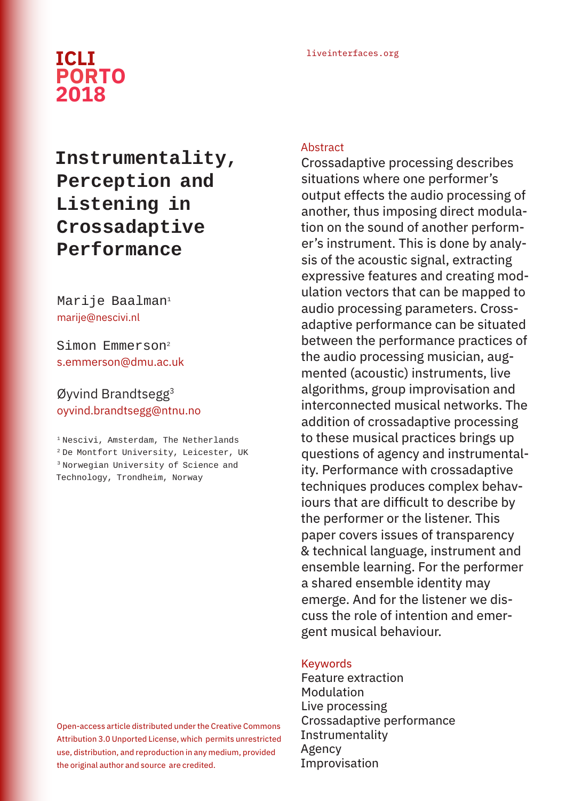## liveinterfaces.org **ICLI PORTO 2018**

# **Instrumentality, Perception and Listening in Crossadaptive Performance**

### Marije Baalman<sup>1</sup> marije@nescivi.nl

Simon Emmerson2 s.emmerson@dmu.ac.uk

Øyvind Brandtsegg3 oyvind.brandtsegg@ntnu.no

1 Nescivi, Amsterdam, The Netherlands 2 De Montfort University, Leicester, UK 3 Norwegian University of Science and Technology, Trondheim, Norway

Open-access article distributed under the Creative Commons Attribution 3.0 Unported License, which permits unrestricted use, distribution, and reproduction in any medium, provided the original author and source are credited.

#### **Abstract**

Crossadaptive processing describes situations where one performer's output effects the audio processing of another, thus imposing direct modulation on the sound of another performer's instrument. This is done by analysis of the acoustic signal, extracting expressive features and creating modulation vectors that can be mapped to audio processing parameters. Crossadaptive performance can be situated between the performance practices of the audio processing musician, augmented (acoustic) instruments, live algorithms, group improvisation and interconnected musical networks. The addition of crossadaptive processing to these musical practices brings up questions of agency and instrumentality. Performance with crossadaptive techniques produces complex behaviours that are difficult to describe by the performer or the listener. This paper covers issues of transparency & technical language, instrument and ensemble learning. For the performer a shared ensemble identity may emerge. And for the listener we discuss the role of intention and emergent musical behaviour.

#### Keywords

Feature extraction Modulation Live processing Crossadaptive performance Instrumentality Agency Improvisation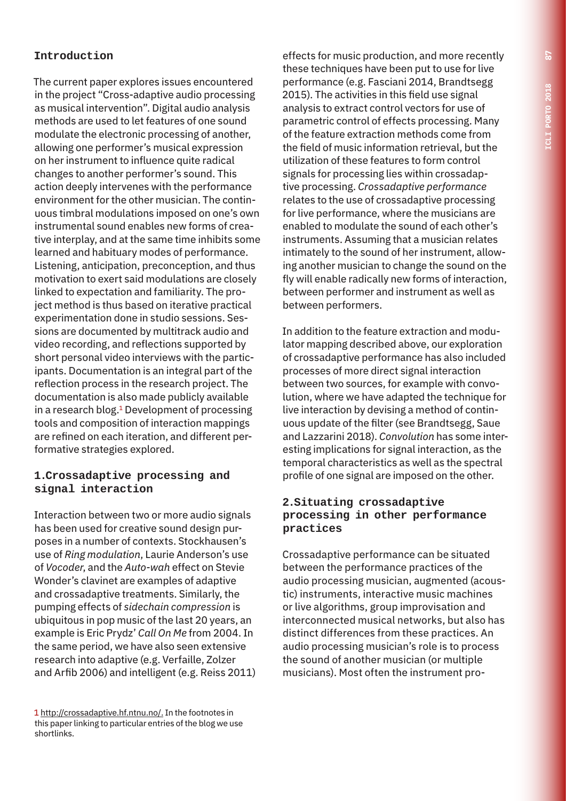## **Introduction**

The current paper explores issues encountered in the project "Cross-adaptive audio processing as musical intervention". Digital audio analysis methods are used to let features of one sound modulate the electronic processing of another, allowing one performer's musical expression on her instrument to influence quite radical changes to another performer's sound. This action deeply intervenes with the performance environment for the other musician. The continuous timbral modulations imposed on one's own instrumental sound enables new forms of creative interplay, and at the same time inhibits some learned and habituary modes of performance. Listening, anticipation, preconception, and thus motivation to exert said modulations are closely linked to expectation and familiarity. The project method is thus based on iterative practical experimentation done in studio sessions. Sessions are documented by multitrack audio and video recording, and reflections supported by short personal video interviews with the participants. Documentation is an integral part of the reflection process in the research project. The documentation is also made publicly available in a research blog.<sup>1</sup> Development of processing tools and composition of interaction mappings are refined on each iteration, and different performative strategies explored.

#### **1.Crossadaptive processing and signal interaction**

Interaction between two or more audio signals has been used for creative sound design purposes in a number of contexts. Stockhausen's use of *Ring modulation*, Laurie Anderson's use of *Vocoder*, and the *Auto-wah* effect on Stevie Wonder's clavinet are examples of adaptive and crossadaptive treatments. Similarly, the pumping effects of *sidechain compression* is ubiquitous in pop music of the last 20 years, an example is Eric Prydz' *Call On Me* from 2004. In the same period, we have also seen extensive research into adaptive (e.g. Verfaille, Zolzer and Arfib 2006) and intelligent (e.g. Reiss 2011)

effects for music production, and more recently these techniques have been put to use for live performance (e.g. Fasciani 2014, Brandtsegg 2015). The activities in this field use signal analysis to extract control vectors for use of parametric control of effects processing. Many of the feature extraction methods come from the field of music information retrieval, but the utilization of these features to form control signals for processing lies within crossadaptive processing. *Crossadaptive performance* relates to the use of crossadaptive processing for live performance, where the musicians are enabled to modulate the sound of each other's instruments. Assuming that a musician relates intimately to the sound of her instrument, allowing another musician to change the sound on the fly will enable radically new forms of interaction, between performer and instrument as well as between performers.

In addition to the feature extraction and modulator mapping described above, our exploration of crossadaptive performance has also included processes of more direct signal interaction between two sources, for example with convolution, where we have adapted the technique for live interaction by devising a method of continuous update of the filter (see Brandtsegg, Saue and Lazzarini 2018). *Convolution* has some interesting implications for signal interaction, as the temporal characteristics as well as the spectral profile of one signal are imposed on the other.

#### **2.Situating crossadaptive processing in other performance practices**

Crossadaptive performance can be situated between the performance practices of the audio processing musician, augmented (acoustic) instruments, interactive music machines or live algorithms, group improvisation and interconnected musical networks, but also has distinct differences from these practices. An audio processing musician's role is to process the sound of another musician (or multiple musicians). Most often the instrument pro-

<sup>1</sup> http://crossadaptive.hf.ntnu.no/. In the footnotes in this paper linking to particular entries of the blog we use shortlinks.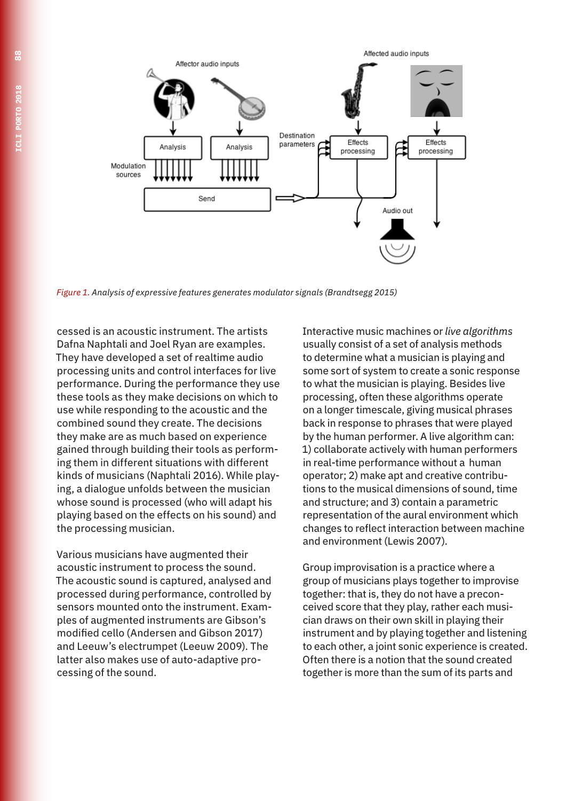

*Figure 1. Analysis of expressive features generates modulator signals (Brandtsegg 2015)*

cessed is an acoustic instrument. The artists Dafna Naphtali and Joel Ryan are examples. They have developed a set of realtime audio processing units and control interfaces for live performance. During the performance they use these tools as they make decisions on which to use while responding to the acoustic and the combined sound they create. The decisions they make are as much based on experience gained through building their tools as performing them in different situations with different kinds of musicians (Naphtali 2016). While playing, a dialogue unfolds between the musician whose sound is processed (who will adapt his playing based on the effects on his sound) and the processing musician.

Various musicians have augmented their acoustic instrument to process the sound. The acoustic sound is captured, analysed and processed during performance, controlled by sensors mounted onto the instrument. Examples of augmented instruments are Gibson's modified cello (Andersen and Gibson 2017) and Leeuw's electrumpet (Leeuw 2009). The latter also makes use of auto-adaptive processing of the sound.

Interactive music machines or *live algorithms* usually consist of a set of analysis methods to determine what a musician is playing and some sort of system to create a sonic response to what the musician is playing. Besides live processing, often these algorithms operate on a longer timescale, giving musical phrases back in response to phrases that were played by the human performer. A live algorithm can: 1) collaborate actively with human performers in real-time performance without a human operator; 2) make apt and creative contributions to the musical dimensions of sound, time and structure; and 3) contain a parametric representation of the aural environment which changes to reflect interaction between machine and environment (Lewis 2007).

Group improvisation is a practice where a group of musicians plays together to improvise together: that is, they do not have a preconceived score that they play, rather each musician draws on their own skill in playing their instrument and by playing together and listening to each other, a joint sonic experience is created. Often there is a notion that the sound created together is more than the sum of its parts and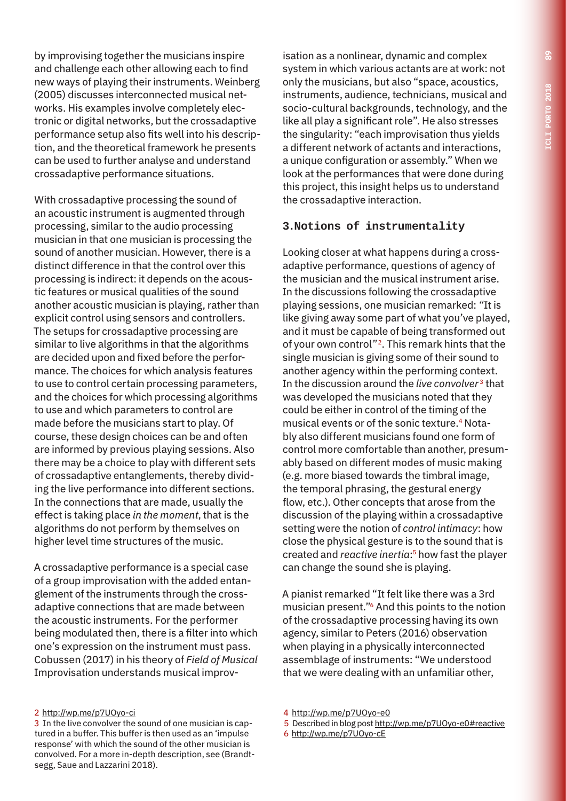by improvising together the musicians inspire and challenge each other allowing each to find new ways of playing their instruments. Weinberg (2005) discusses interconnected musical networks. His examples involve completely electronic or digital networks, but the crossadaptive performance setup also fits well into his description, and the theoretical framework he presents can be used to further analyse and understand crossadaptive performance situations.

With crossadaptive processing the sound of an acoustic instrument is augmented through processing, similar to the audio processing musician in that one musician is processing the sound of another musician. However, there is a distinct difference in that the control over this processing is indirect: it depends on the acoustic features or musical qualities of the sound another acoustic musician is playing, rather than explicit control using sensors and controllers. The setups for crossadaptive processing are similar to live algorithms in that the algorithms are decided upon and fixed before the performance. The choices for which analysis features to use to control certain processing parameters, and the choices for which processing algorithms to use and which parameters to control are made before the musicians start to play. Of course, these design choices can be and often are informed by previous playing sessions. Also there may be a choice to play with different sets of crossadaptive entanglements, thereby dividing the live performance into different sections. In the connections that are made, usually the effect is taking place *in the moment*, that is the algorithms do not perform by themselves on higher level time structures of the music.

A crossadaptive performance is a special case of a group improvisation with the added entanglement of the instruments through the crossadaptive connections that are made between the acoustic instruments. For the performer being modulated then, there is a filter into which one's expression on the instrument must pass. Cobussen (2017) in his theory of *Field of Musical*  Improvisation understands musical improv-

isation as a nonlinear, dynamic and complex system in which various actants are at work: not only the musicians, but also "space, acoustics, instruments, audience, technicians, musical and socio-cultural backgrounds, technology, and the like all play a significant role". He also stresses the singularity: "each improvisation thus yields a different network of actants and interactions, a unique configuration or assembly." When we look at the performances that were done during this project, this insight helps us to understand the crossadaptive interaction.

#### **3.Notions of instrumentality**

Looking closer at what happens during a crossadaptive performance, questions of agency of the musician and the musical instrument arise. In the discussions following the crossadaptive playing sessions, one musician remarked: *"*It is like giving away some part of what you've played, and it must be capable of being transformed out of your own control*"* 2. This remark hints that the single musician is giving some of their sound to another agency within the performing context. In the discussion around the *live convolver* 3 that was developed the musicians noted that they could be either in control of the timing of the musical events or of the sonic texture.<sup>4</sup> Notably also different musicians found one form of control more comfortable than another, presumably based on different modes of music making (e.g. more biased towards the timbral image, the temporal phrasing, the gestural energy flow, etc.). Other concepts that arose from the discussion of the playing within a crossadaptive setting were the notion of *control intimacy*: how close the physical gesture is to the sound that is created and *reactive inertia*: 5 how fast the player can change the sound she is playing.

A pianist remarked "It felt like there was a 3rd musician present."6 And this points to the notion of the crossadaptive processing having its own agency, similar to Peters (2016) observation when playing in a physically interconnected assemblage of instruments: "We understood that we were dealing with an unfamiliar other,

- 5 Described in blog post http://wp.me/p7UOyo-e0#reactive
- 6 http://wp.me/p7UOyo-cE

<sup>2</sup> http://wp.me/p7UOyo-ci

<sup>3</sup> In the live convolver the sound of one musician is captured in a buffer. This buffer is then used as an 'impulse response' with which the sound of the other musician is convolved. For a more in-depth description, see (Brandtsegg, Saue and Lazzarini 2018).

<sup>4</sup> http://wp.me/p7UOyo-e0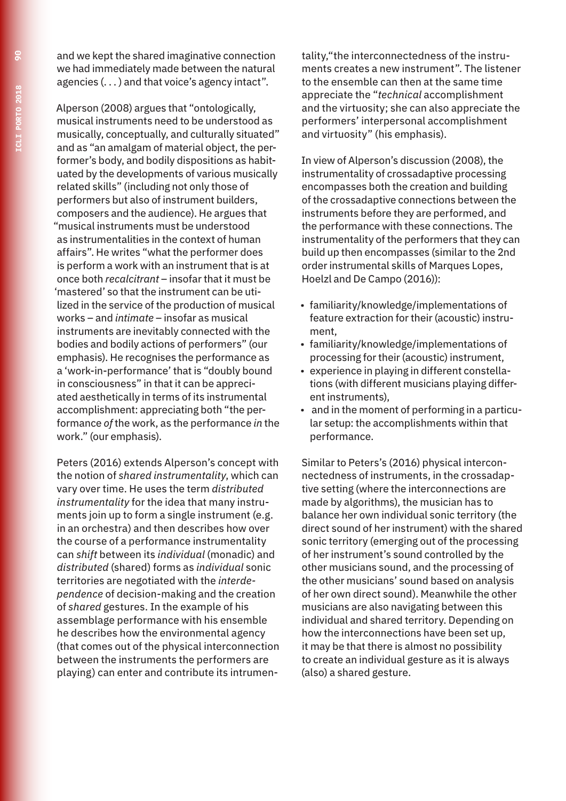and we kept the shared imaginative connection we had immediately made between the natural agencies (. . . ) and that voice's agency intact".

Alperson (2008) argues that "ontologically, musical instruments need to be understood as musically, conceptually, and culturally situated" and as "an amalgam of material object, the performer's body, and bodily dispositions as habituated by the developments of various musically related skills" (including not only those of performers but also of instrument builders, composers and the audience). He argues that "musical instruments must be understood as instrumentalities in the context of human affairs". He writes "what the performer does is perform a work with an instrument that is at once both *recalcitrant* – insofar that it must be 'mastered' so that the instrument can be utilized in the service of the production of musical works – and *intimate* – insofar as musical instruments are inevitably connected with the bodies and bodily actions of performers" (our emphasis). He recognises the performance as a 'work-in-performance' that is "doubly bound in consciousness" in that it can be appreciated aesthetically in terms of its instrumental accomplishment: appreciating both "the performance *of* the work, as the performance *in* the work." (our emphasis).

Peters (2016) extends Alperson's concept with the notion of *shared instrumentality*, which can vary over time. He uses the term *distributed instrumentality* for the idea that many instruments join up to form a single instrument (e.g. in an orchestra) and then describes how over the course of a performance instrumentality can *shift* between its *individual* (monadic) and *distributed* (shared) forms as *individual* sonic territories are negotiated with the *interdependence* of decision-making and the creation of *shared* gestures. In the example of his assemblage performance with his ensemble he describes how the environmental agency (that comes out of the physical interconnection between the instruments the performers are playing) can enter and contribute its intrumentality,"the interconnectedness of the instruments creates a new instrument". The listener to the ensemble can then at the same time appreciate the "*technical* accomplishment and the virtuosity; she can also appreciate the performers' interpersonal accomplishment and virtuosity" (his emphasis).

In view of Alperson's discussion (2008), the instrumentality of crossadaptive processing encompasses both the creation and building of the crossadaptive connections between the instruments before they are performed, and the performance with these connections. The instrumentality of the performers that they can build up then encompasses (similar to the 2nd order instrumental skills of Marques Lopes, Hoelzl and De Campo (2016)):

- familiarity/knowledge/implementations of feature extraction for their (acoustic) instrument,
- familiarity/knowledge/implementations of processing for their (acoustic) instrument,
- experience in playing in different constellations (with different musicians playing different instruments),
- and in the moment of performing in a particular setup: the accomplishments within that performance.

Similar to Peters's (2016) physical interconnectedness of instruments, in the crossadaptive setting (where the interconnections are made by algorithms), the musician has to balance her own individual sonic territory (the direct sound of her instrument) with the shared sonic territory (emerging out of the processing of her instrument's sound controlled by the other musicians sound, and the processing of the other musicians' sound based on analysis of her own direct sound). Meanwhile the other musicians are also navigating between this individual and shared territory. Depending on how the interconnections have been set up, it may be that there is almost no possibility to create an individual gesture as it is always (also) a shared gesture.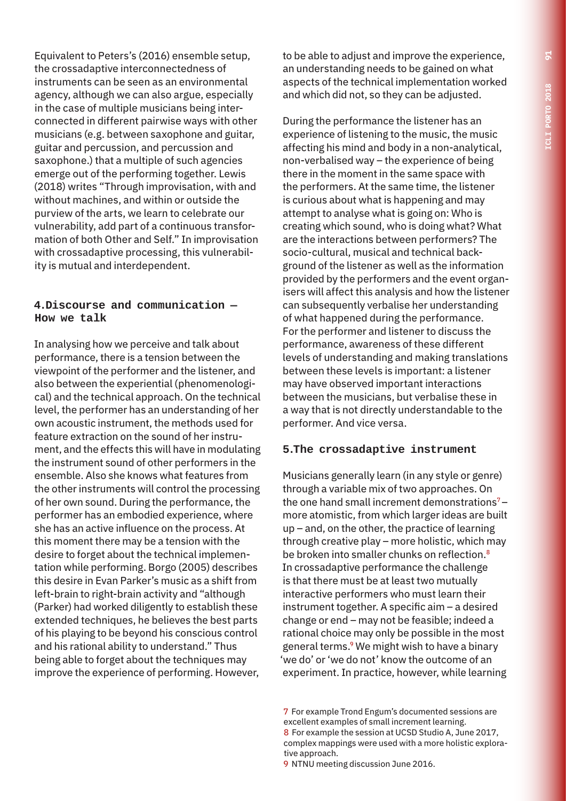Equivalent to Peters's (2016) ensemble setup, the crossadaptive interconnectedness of instruments can be seen as an environmental agency, although we can also argue, especially in the case of multiple musicians being interconnected in different pairwise ways with other musicians (e.g. between saxophone and guitar, guitar and percussion, and percussion and saxophone.) that a multiple of such agencies emerge out of the performing together. Lewis (2018) writes "Through improvisation, with and without machines, and within or outside the purview of the arts, we learn to celebrate our vulnerability, add part of a continuous transformation of both Other and Self." In improvisation with crossadaptive processing, this vulnerability is mutual and interdependent.

#### **4.Discourse and communication — How we talk**

In analysing how we perceive and talk about performance, there is a tension between the viewpoint of the performer and the listener, and also between the experiential (phenomenological) and the technical approach. On the technical level, the performer has an understanding of her own acoustic instrument, the methods used for feature extraction on the sound of her instrument, and the effects this will have in modulating the instrument sound of other performers in the ensemble. Also she knows what features from the other instruments will control the processing of her own sound. During the performance, the performer has an embodied experience, where she has an active influence on the process. At this moment there may be a tension with the desire to forget about the technical implementation while performing. Borgo (2005) describes this desire in Evan Parker's music as a shift from left-brain to right-brain activity and "although (Parker) had worked diligently to establish these extended techniques, he believes the best parts of his playing to be beyond his conscious control and his rational ability to understand." Thus being able to forget about the techniques may improve the experience of performing. However,

to be able to adjust and improve the experience, an understanding needs to be gained on what aspects of the technical implementation worked and which did not, so they can be adjusted.

During the performance the listener has an experience of listening to the music, the music affecting his mind and body in a non-analytical, non-verbalised way – the experience of being there in the moment in the same space with the performers. At the same time, the listener is curious about what is happening and may attempt to analyse what is going on: Who is creating which sound, who is doing what? What are the interactions between performers? The socio-cultural, musical and technical background of the listener as well as the information provided by the performers and the event organisers will affect this analysis and how the listener can subsequently verbalise her understanding of what happened during the performance. For the performer and listener to discuss the performance, awareness of these different levels of understanding and making translations between these levels is important: a listener may have observed important interactions between the musicians, but verbalise these in a way that is not directly understandable to the performer. And vice versa.

#### **5.The crossadaptive instrument**

Musicians generally learn (in any style or genre) through a variable mix of two approaches. On the one hand small increment demonstrations<sup>7</sup> $$ more atomistic, from which larger ideas are built up – and, on the other, the practice of learning through creative play – more holistic, which may be broken into smaller chunks on reflection.<sup>8</sup> In crossadaptive performance the challenge is that there must be at least two mutually interactive performers who must learn their instrument together. A specific aim – a desired change or end – may not be feasible; indeed a rational choice may only be possible in the most general terms.9 We might wish to have a binary 'we do' or 'we do not' know the outcome of an experiment. In practice, however, while learning

<sup>7</sup> For example Trond Engum's documented sessions are excellent examples of small increment learning. 8 For example the session at UCSD Studio A, June 2017, complex mappings were used with a more holistic explorative approach.

<sup>9</sup> NTNU meeting discussion June 2016.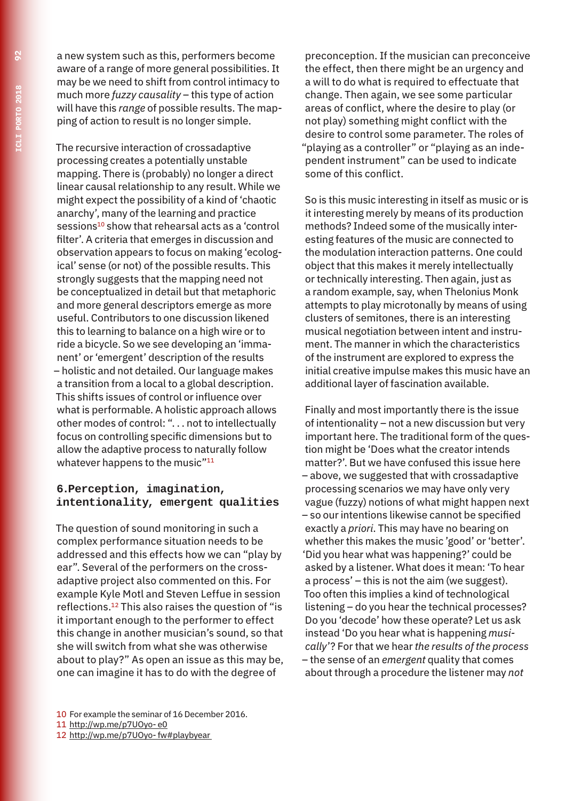a new system such as this, performers become aware of a range of more general possibilities. It may be we need to shift from control intimacy to much more *fuzzy causality* – this type of action will have this *range* of possible results. The mapping of action to result is no longer simple.

The recursive interaction of crossadaptive processing creates a potentially unstable mapping. There is (probably) no longer a direct linear causal relationship to any result. While we might expect the possibility of a kind of 'chaotic anarchy', many of the learning and practice sessions<sup>10</sup> show that rehearsal acts as a 'control filter'. A criteria that emerges in discussion and observation appears to focus on making 'ecological' sense (or not) of the possible results. This strongly suggests that the mapping need not be conceptualized in detail but that metaphoric and more general descriptors emerge as more useful. Contributors to one discussion likened this to learning to balance on a high wire or to ride a bicycle. So we see developing an 'immanent' or 'emergent' description of the results – holistic and not detailed. Our language makes a transition from a local to a global description. This shifts issues of control or influence over what is performable. A holistic approach allows other modes of control: ". . . not to intellectually focus on controlling specific dimensions but to allow the adaptive process to naturally follow whatever happens to the music"<sup>11</sup>

#### **6.Perception, imagination, intentionality, emergent qualities**

The question of sound monitoring in such a complex performance situation needs to be addressed and this effects how we can "play by ear". Several of the performers on the crossadaptive project also commented on this. For example Kyle Motl and Steven Leffue in session reflections.12 This also raises the question of "is it important enough to the performer to effect this change in another musician's sound, so that she will switch from what she was otherwise about to play?" As open an issue as this may be, one can imagine it has to do with the degree of

preconception. If the musician can preconceive the effect, then there might be an urgency and a will to do what is required to effectuate that change. Then again, we see some particular areas of conflict, where the desire to play (or not play) something might conflict with the desire to control some parameter. The roles of "playing as a controller" or "playing as an independent instrument" can be used to indicate some of this conflict.

So is this music interesting in itself as music or is it interesting merely by means of its production methods? Indeed some of the musically interesting features of the music are connected to the modulation interaction patterns. One could object that this makes it merely intellectually or technically interesting. Then again, just as a random example, say, when Thelonius Monk attempts to play microtonally by means of using clusters of semitones, there is an interesting musical negotiation between intent and instrument. The manner in which the characteristics of the instrument are explored to express the initial creative impulse makes this music have an additional layer of fascination available.

Finally and most importantly there is the issue of intentionality – not a new discussion but very important here. The traditional form of the question might be 'Does what the creator intends matter?'. But we have confused this issue here – above, we suggested that with crossadaptive processing scenarios we may have only very vague (fuzzy) notions of what might happen next – so our intentions likewise cannot be specified exactly a *priori*. This may have no bearing on whether this makes the music 'good' or 'better'. 'Did you hear what was happening?' could be asked by a listener. What does it mean: 'To hear a process' – this is not the aim (we suggest). Too often this implies a kind of technological listening – do you hear the technical processes? Do you 'decode' how these operate? Let us ask instead 'Do you hear what is happening *musically*'? For that we hear *the results of the process* – the sense of an *emergent* quality that comes about through a procedure the listener may *not*

- 11 http://wp.me/p7UOyo- e0
- 12 http://wp.me/p7UOyo- fw#playbyear

<sup>10</sup> For example the seminar of 16 December 2016.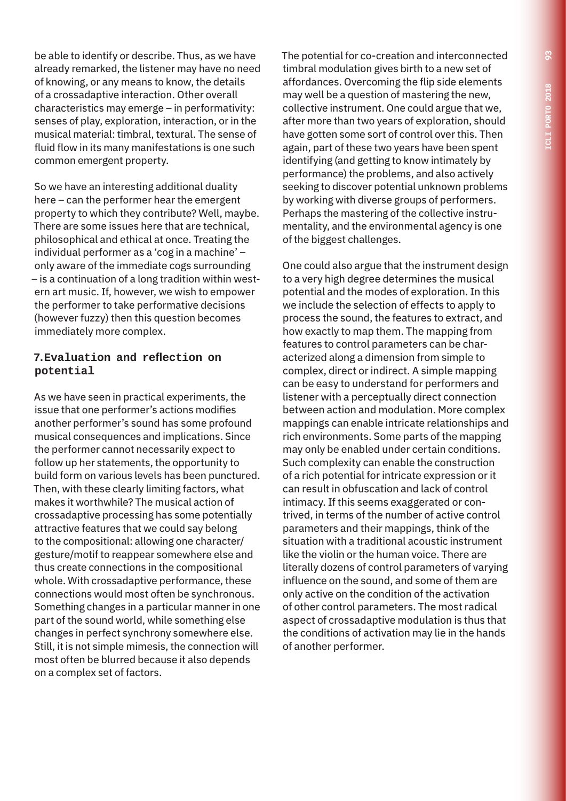be able to identify or describe. Thus, as we have already remarked, the listener may have no need of knowing, or any means to know, the details of a crossadaptive interaction. Other overall characteristics may emerge – in performativity: senses of play, exploration, interaction, or in the musical material: timbral, textural. The sense of fluid flow in its many manifestations is one such common emergent property.

So we have an interesting additional duality here – can the performer hear the emergent property to which they contribute? Well, maybe. There are some issues here that are technical, philosophical and ethical at once. Treating the individual performer as a 'cog in a machine' – only aware of the immediate cogs surrounding – is a continuation of a long tradition within western art music. If, however, we wish to empower the performer to take performative decisions (however fuzzy) then this question becomes immediately more complex.

#### **7.Evaluation and reflection on potential**

As we have seen in practical experiments, the issue that one performer's actions modifies another performer's sound has some profound musical consequences and implications. Since the performer cannot necessarily expect to follow up her statements, the opportunity to build form on various levels has been punctured. Then, with these clearly limiting factors, what makes it worthwhile? The musical action of crossadaptive processing has some potentially attractive features that we could say belong to the compositional: allowing one character/ gesture/motif to reappear somewhere else and thus create connections in the compositional whole. With crossadaptive performance, these connections would most often be synchronous. Something changes in a particular manner in one part of the sound world, while something else changes in perfect synchrony somewhere else. Still, it is not simple mimesis, the connection will most often be blurred because it also depends on a complex set of factors.

The potential for co-creation and interconnected timbral modulation gives birth to a new set of affordances. Overcoming the flip side elements may well be a question of mastering the new, collective instrument. One could argue that we, after more than two years of exploration, should have gotten some sort of control over this. Then again, part of these two years have been spent identifying (and getting to know intimately by performance) the problems, and also actively seeking to discover potential unknown problems by working with diverse groups of performers. Perhaps the mastering of the collective instrumentality, and the environmental agency is one of the biggest challenges.

One could also argue that the instrument design to a very high degree determines the musical potential and the modes of exploration. In this we include the selection of effects to apply to process the sound, the features to extract, and how exactly to map them. The mapping from features to control parameters can be characterized along a dimension from simple to complex, direct or indirect. A simple mapping can be easy to understand for performers and listener with a perceptually direct connection between action and modulation. More complex mappings can enable intricate relationships and rich environments. Some parts of the mapping may only be enabled under certain conditions. Such complexity can enable the construction of a rich potential for intricate expression or it can result in obfuscation and lack of control intimacy. If this seems exaggerated or contrived, in terms of the number of active control parameters and their mappings, think of the situation with a traditional acoustic instrument like the violin or the human voice. There are literally dozens of control parameters of varying influence on the sound, and some of them are only active on the condition of the activation of other control parameters. The most radical aspect of crossadaptive modulation is thus that the conditions of activation may lie in the hands of another performer.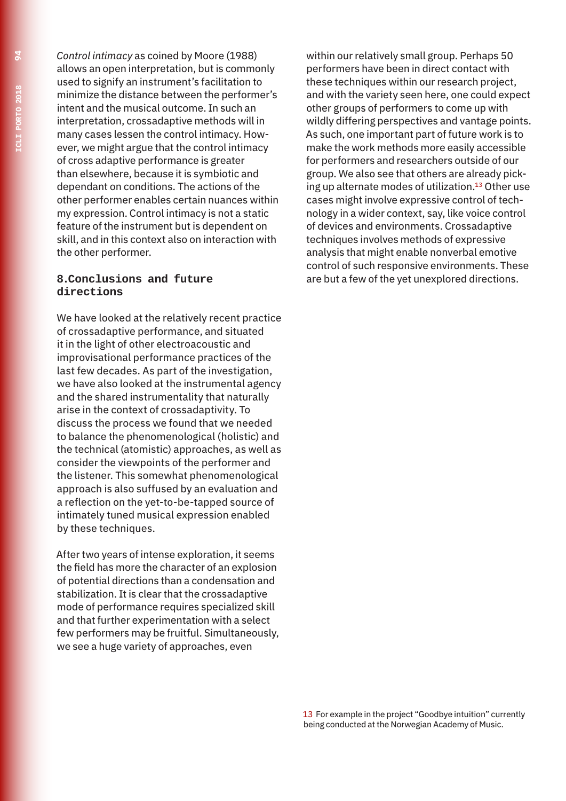*Control intimacy* as coined by Moore (1988) allows an open interpretation, but is commonly used to signify an instrument's facilitation to minimize the distance between the performer's intent and the musical outcome. In such an interpretation, crossadaptive methods will in many cases lessen the control intimacy. However, we might argue that the control intimacy of cross adaptive performance is greater than elsewhere, because it is symbiotic and dependant on conditions. The actions of the other performer enables certain nuances within my expression. Control intimacy is not a static feature of the instrument but is dependent on skill, and in this context also on interaction with the other performer.

#### **8.Conclusions and future directions**

We have looked at the relatively recent practice of crossadaptive performance, and situated it in the light of other electroacoustic and improvisational performance practices of the last few decades. As part of the investigation, we have also looked at the instrumental agency and the shared instrumentality that naturally arise in the context of crossadaptivity. To discuss the process we found that we needed to balance the phenomenological (holistic) and the technical (atomistic) approaches, as well as consider the viewpoints of the performer and the listener. This somewhat phenomenological approach is also suffused by an evaluation and a reflection on the yet-to-be-tapped source of intimately tuned musical expression enabled by these techniques.

After two years of intense exploration, it seems the field has more the character of an explosion of potential directions than a condensation and stabilization. It is clear that the crossadaptive mode of performance requires specialized skill and that further experimentation with a select few performers may be fruitful. Simultaneously, we see a huge variety of approaches, even

within our relatively small group. Perhaps 50 performers have been in direct contact with these techniques within our research project, and with the variety seen here, one could expect other groups of performers to come up with wildly differing perspectives and vantage points. As such, one important part of future work is to make the work methods more easily accessible for performers and researchers outside of our group. We also see that others are already picking up alternate modes of utilization.13 Other use cases might involve expressive control of technology in a wider context, say, like voice control of devices and environments. Crossadaptive techniques involves methods of expressive analysis that might enable nonverbal emotive control of such responsive environments. These are but a few of the yet unexplored directions.

13 For example in the project "Goodbye intuition" currently being conducted at the Norwegian Academy of Music.